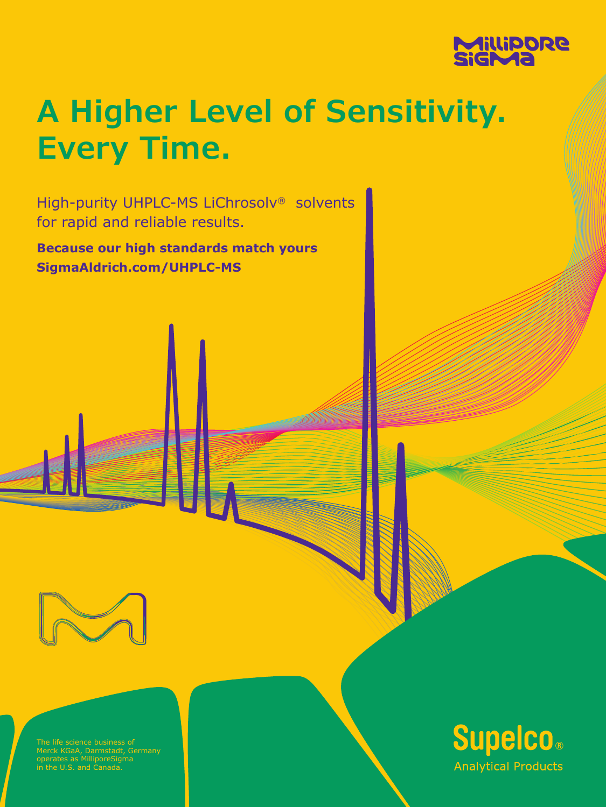

# **A Higher Level of Sensitivity. Every Time.**

High-purity UHPLC-MS LiChrosolv® solvents for rapid and reliable results.

**Because our high standards match yours SigmaAldrich.com/UHPLC-MS**



The life science business of Merck KGaA, Darmstadt, Germany operates as MilliporeSigma in the U.S. and Canada.

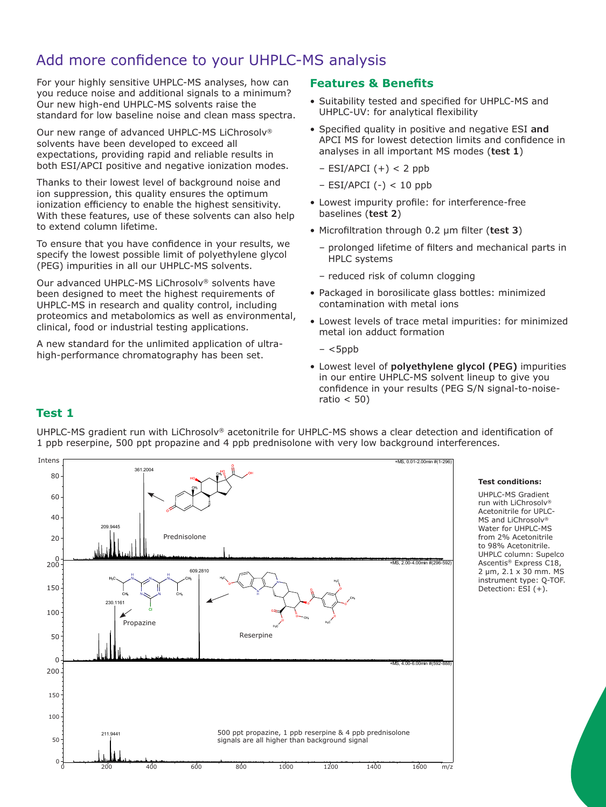## Add more confidence to your UHPLC-MS analysis

For your highly sensitive UHPLC-MS analyses, how can you reduce noise and additional signals to a minimum? Our new high-end UHPLC-MS solvents raise the standard for low baseline noise and clean mass spectra.

Our new range of advanced UHPLC-MS LiChrosolv® solvents have been developed to exceed all expectations, providing rapid and reliable results in both ESI/APCI positive and negative ionization modes.

Thanks to their lowest level of background noise and ion suppression, this quality ensures the optimum ionization efficiency to enable the highest sensitivity. With these features, use of these solvents can also help to extend column lifetime.

To ensure that you have confidence in your results, we specify the lowest possible limit of polyethylene glycol (PEG) impurities in all our UHPLC-MS solvents.

Our advanced UHPLC-MS LiChrosolv® solvents have been designed to meet the highest requirements of UHPLC-MS in research and quality control, including proteomics and metabolomics as well as environmental, clinical, food or industrial testing applications.

A new standard for the unlimited application of ultrahigh-performance chromatography has been set.

## **Features & Benefits**

- Suitability tested and specified for UHPLC-MS and UHPLC-UV: for analytical flexibility
- Specified quality in positive and negative ESI **and** APCI MS for lowest detection limits and confidence in analyses in all important MS modes (**test 1**)
	- $-$  ESI/APCI  $(+) < 2$  ppb
	- $-$  ESI/APCI (-) < 10 ppb
- Lowest impurity profile: for interference-free baselines (**test 2**)
- Microfiltration through 0.2 µm filter (**test 3**)
	- prolonged lifetime of filters and mechanical parts in HPLC systems
	- reduced risk of column clogging
- Packaged in borosilicate glass bottles: minimized contamination with metal ions
- Lowest levels of trace metal impurities: for minimized metal ion adduct formation
	- $<$ 5ppb
- Lowest level of **polyethylene glycol (PEG)** impurities in our entire UHPLC-MS solvent lineup to give you confidence in your results (PEG S/N signal-to-noiseratio  $<$  50)

## **Test 1**

UHPLC-MS gradient run with LiChrosolv® acetonitrile for UHPLC-MS shows a clear detection and identification of 1 ppb reserpine, 500 ppt propazine and 4 ppb prednisolone with very low background interferences.



#### **Test conditions:**

UHPLC-MS Gradient run with LiChrosolv® Acetonitrile for UPLC-MS and LiChrosolv® Water for UHPLC-MS from 2% Acetonitrile to 98% Acetonitrile. UHPLC column: Supelco Ascentis® Express C18, 2 µm, 2.1 x 30 mm. MS instrument type: Q-TOF. Detection: ESI (+).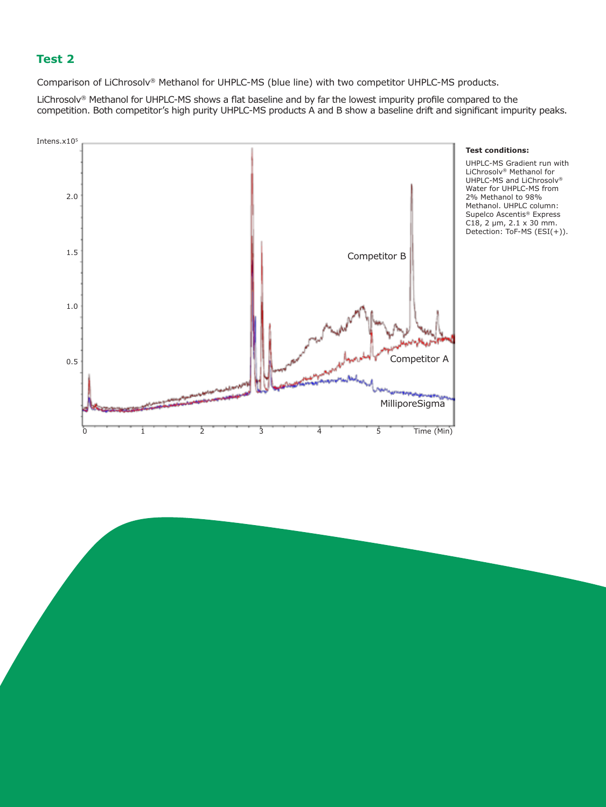## **Test 2**

Comparison of LiChrosolv® Methanol for UHPLC-MS (blue line) with two competitor UHPLC-MS products.

LiChrosolv® Methanol for UHPLC-MS shows a flat baseline and by far the lowest impurity profile compared to the competition. Both competitor's high purity UHPLC-MS products A and B show a baseline drift and significant impurity peaks.



#### **Test conditions:**

UHPLC-MS Gradient run with LiChrosolv® Methanol for UHPLC-MS and LiChrosolv® Water for UHPLC-MS from 2% Methanol to 98% Methanol. UHPLC column: Supelco Ascentis® Express C18, 2  $\mu$ m, 2.1 x 30 mm. Detection: ToF-MS (ESI(+)).